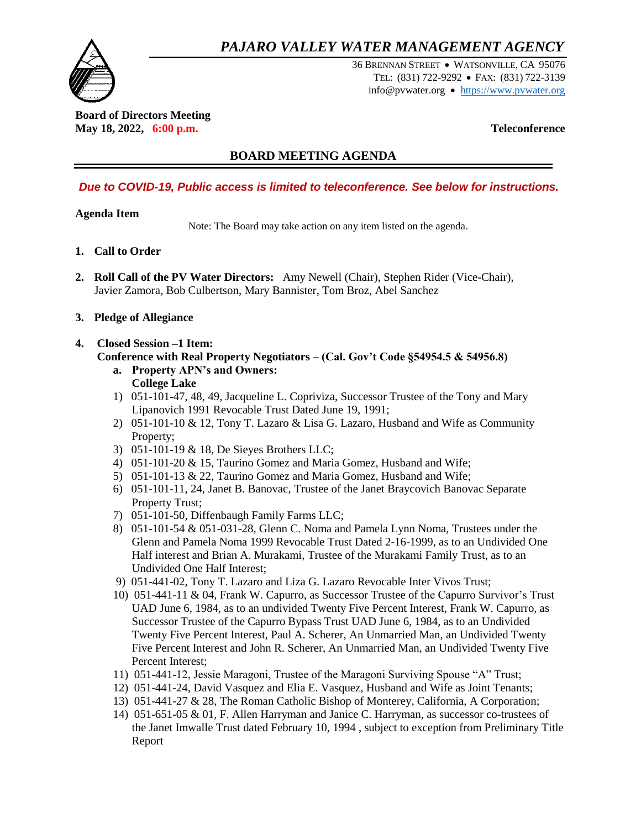# *PAJARO VALLEY WATER MANAGEMENT AGENCY*



36 BRENNAN STREET WATSONVILLE, CA 95076 TEL: (831) 722-9292 FAX: (831) 722-3139 info@pvwater.org • [https://www.pvwater.org](https://www.pvwater.org/)

## **Board of Directors Meeting May 18, 2022, 6:00 p.m. Teleconference**

## **BOARD MEETING AGENDA**

## *Due to COVID-19, Public access is limited to teleconference. See below for instructions.*

## **Agenda Item**

Note: The Board may take action on any item listed on the agenda.

- **1. Call to Order**
- **2. Roll Call of the PV Water Directors:** Amy Newell (Chair), Stephen Rider (Vice-Chair), Javier Zamora, Bob Culbertson, Mary Bannister, Tom Broz, Abel Sanchez
- **3. Pledge of Allegiance**

## **4. Closed Session –1 Item: Conference with Real Property Negotiators – (Cal. Gov't Code §54954.5 & 54956.8)**

- **a. Property APN's and Owners: College Lake**
- 1) 051-101-47, 48, 49, Jacqueline L. Copriviza, Successor Trustee of the Tony and Mary Lipanovich 1991 Revocable Trust Dated June 19, 1991;
- 2) 051-101-10 & 12, Tony T. Lazaro & Lisa G. Lazaro, Husband and Wife as Community Property;
- 3) 051-101-19 & 18, De Sieyes Brothers LLC;
- 4) 051-101-20 & 15, Taurino Gomez and Maria Gomez, Husband and Wife;
- 5) 051-101-13 & 22, Taurino Gomez and Maria Gomez, Husband and Wife;
- 6) 051-101-11, 24, Janet B. Banovac, Trustee of the Janet Braycovich Banovac Separate Property Trust;
- 7) 051-101-50, Diffenbaugh Family Farms LLC;
- 8) 051-101-54 & 051-031-28, Glenn C. Noma and Pamela Lynn Noma, Trustees under the Glenn and Pamela Noma 1999 Revocable Trust Dated 2-16-1999, as to an Undivided One Half interest and Brian A. Murakami, Trustee of the Murakami Family Trust, as to an Undivided One Half Interest;
- 9) 051-441-02, Tony T. Lazaro and Liza G. Lazaro Revocable Inter Vivos Trust;
- 10) 051-441-11 & 04, Frank W. Capurro, as Successor Trustee of the Capurro Survivor's Trust UAD June 6, 1984, as to an undivided Twenty Five Percent Interest, Frank W. Capurro, as Successor Trustee of the Capurro Bypass Trust UAD June 6, 1984, as to an Undivided Twenty Five Percent Interest, Paul A. Scherer, An Unmarried Man, an Undivided Twenty Five Percent Interest and John R. Scherer, An Unmarried Man, an Undivided Twenty Five Percent Interest;
- 11) 051-441-12, Jessie Maragoni, Trustee of the Maragoni Surviving Spouse "A" Trust;
- 12) 051-441-24, David Vasquez and Elia E. Vasquez, Husband and Wife as Joint Tenants;
- 13) 051-441-27 & 28, The Roman Catholic Bishop of Monterey, California, A Corporation;
- 14) 051-651-05 & 01, F. Allen Harryman and Janice C. Harryman, as successor co-trustees of the Janet Imwalle Trust dated February 10, 1994 , subject to exception from Preliminary Title Report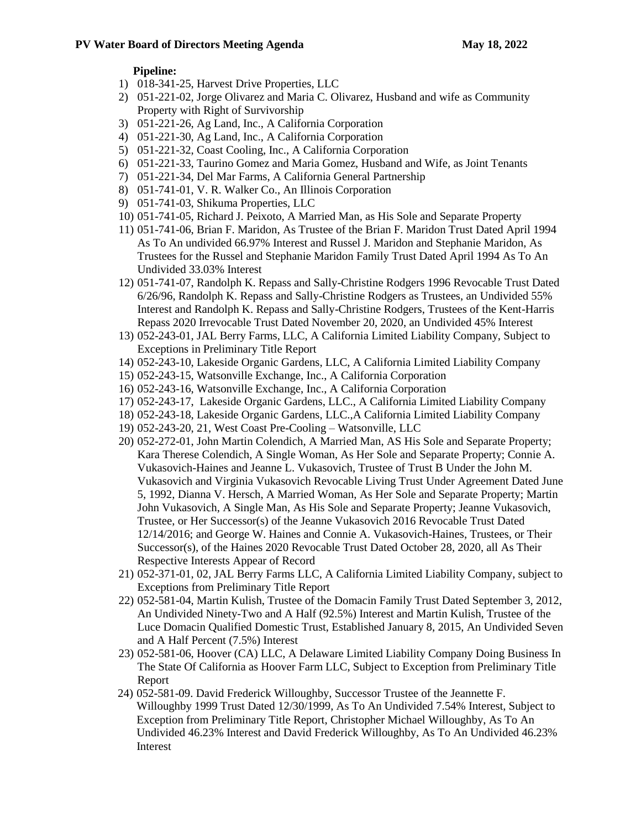## **Pipeline:**

- 1) 018-341-25, Harvest Drive Properties, LLC
- 2) 051-221-02, Jorge Olivarez and Maria C. Olivarez, Husband and wife as Community Property with Right of Survivorship
- 3) 051-221-26, Ag Land, Inc., A California Corporation
- 4) 051-221-30, Ag Land, Inc., A California Corporation
- 5) 051-221-32, Coast Cooling, Inc., A California Corporation
- 6) 051-221-33, Taurino Gomez and Maria Gomez, Husband and Wife, as Joint Tenants
- 7) 051-221-34, Del Mar Farms, A California General Partnership
- 8) 051-741-01, V. R. Walker Co., An Illinois Corporation
- 9) 051-741-03, Shikuma Properties, LLC
- 10) 051-741-05, Richard J. Peixoto, A Married Man, as His Sole and Separate Property
- 11) 051-741-06, Brian F. Maridon, As Trustee of the Brian F. Maridon Trust Dated April 1994 As To An undivided 66.97% Interest and Russel J. Maridon and Stephanie Maridon, As Trustees for the Russel and Stephanie Maridon Family Trust Dated April 1994 As To An Undivided 33.03% Interest
- 12) 051-741-07, Randolph K. Repass and Sally-Christine Rodgers 1996 Revocable Trust Dated 6/26/96, Randolph K. Repass and Sally-Christine Rodgers as Trustees, an Undivided 55% Interest and Randolph K. Repass and Sally-Christine Rodgers, Trustees of the Kent-Harris Repass 2020 Irrevocable Trust Dated November 20, 2020, an Undivided 45% Interest
- 13) 052-243-01, JAL Berry Farms, LLC, A California Limited Liability Company, Subject to Exceptions in Preliminary Title Report
- 14) 052-243-10, Lakeside Organic Gardens, LLC, A California Limited Liability Company
- 15) 052-243-15, Watsonville Exchange, Inc., A California Corporation
- 16) 052-243-16, Watsonville Exchange, Inc., A California Corporation
- 17) 052-243-17, Lakeside Organic Gardens, LLC., A California Limited Liability Company
- 18) 052-243-18, Lakeside Organic Gardens, LLC.,A California Limited Liability Company
- 19) 052-243-20, 21, West Coast Pre-Cooling Watsonville, LLC
- 20) 052-272-01, John Martin Colendich, A Married Man, AS His Sole and Separate Property; Kara Therese Colendich, A Single Woman, As Her Sole and Separate Property; Connie A. Vukasovich-Haines and Jeanne L. Vukasovich, Trustee of Trust B Under the John M. Vukasovich and Virginia Vukasovich Revocable Living Trust Under Agreement Dated June 5, 1992, Dianna V. Hersch, A Married Woman, As Her Sole and Separate Property; Martin John Vukasovich, A Single Man, As His Sole and Separate Property; Jeanne Vukasovich, Trustee, or Her Successor(s) of the Jeanne Vukasovich 2016 Revocable Trust Dated 12/14/2016; and George W. Haines and Connie A. Vukasovich-Haines, Trustees, or Their Successor(s), of the Haines 2020 Revocable Trust Dated October 28, 2020, all As Their Respective Interests Appear of Record
- 21) 052-371-01, 02, JAL Berry Farms LLC, A California Limited Liability Company, subject to Exceptions from Preliminary Title Report
- 22) 052-581-04, Martin Kulish, Trustee of the Domacin Family Trust Dated September 3, 2012, An Undivided Ninety-Two and A Half (92.5%) Interest and Martin Kulish, Trustee of the Luce Domacin Qualified Domestic Trust, Established January 8, 2015, An Undivided Seven and A Half Percent (7.5%) Interest
- 23) 052-581-06, Hoover (CA) LLC, A Delaware Limited Liability Company Doing Business In The State Of California as Hoover Farm LLC, Subject to Exception from Preliminary Title Report
- 24) 052-581-09. David Frederick Willoughby, Successor Trustee of the Jeannette F. Willoughby 1999 Trust Dated 12/30/1999, As To An Undivided 7.54% Interest, Subject to Exception from Preliminary Title Report, Christopher Michael Willoughby, As To An Undivided 46.23% Interest and David Frederick Willoughby, As To An Undivided 46.23% Interest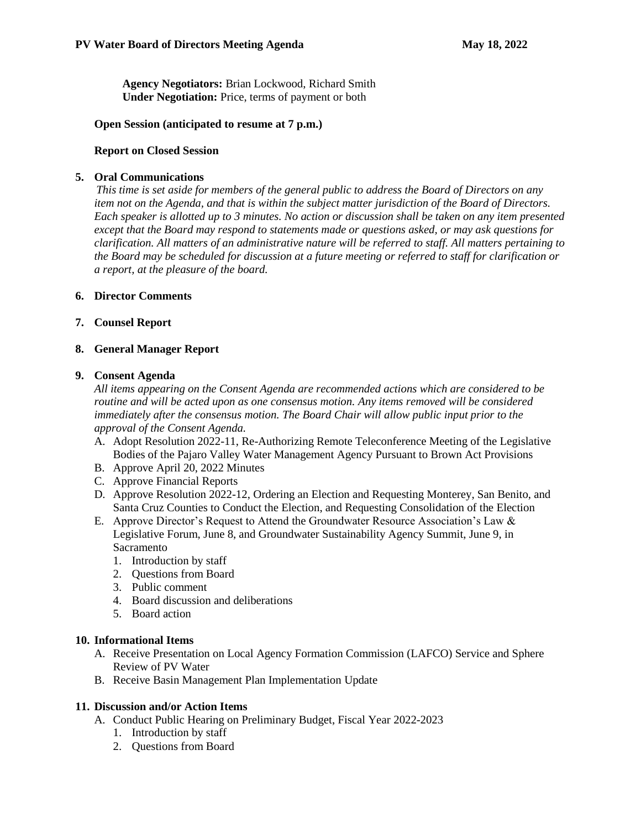**Agency Negotiators:** Brian Lockwood, Richard Smith **Under Negotiation:** Price, terms of payment or both

## **Open Session (anticipated to resume at 7 p.m.)**

### **Report on Closed Session**

### **5. Oral Communications**

 *This time is set aside for members of the general public to address the Board of Directors on any item not on the Agenda, and that is within the subject matter jurisdiction of the Board of Directors. Each speaker is allotted up to 3 minutes. No action or discussion shall be taken on any item presented except that the Board may respond to statements made or questions asked, or may ask questions for clarification. All matters of an administrative nature will be referred to staff. All matters pertaining to the Board may be scheduled for discussion at a future meeting or referred to staff for clarification or a report, at the pleasure of the board.*

#### **6. Director Comments**

**7. Counsel Report**

#### **8. General Manager Report**

#### **9. Consent Agenda**

*All items appearing on the Consent Agenda are recommended actions which are considered to be routine and will be acted upon as one consensus motion. Any items removed will be considered immediately after the consensus motion. The Board Chair will allow public input prior to the approval of the Consent Agenda.* 

- A. Adopt Resolution 2022-11, Re-Authorizing Remote Teleconference Meeting of the Legislative Bodies of the Pajaro Valley Water Management Agency Pursuant to Brown Act Provisions
- B. Approve April 20, 2022 Minutes
- C. Approve Financial Reports
- D. Approve Resolution 2022-12, Ordering an Election and Requesting Monterey, San Benito, and Santa Cruz Counties to Conduct the Election, and Requesting Consolidation of the Election
- E. Approve Director's Request to Attend the Groundwater Resource Association's Law & Legislative Forum, June 8, and Groundwater Sustainability Agency Summit, June 9, in Sacramento
	- 1. Introduction by staff
	- 2. Questions from Board
	- 3. Public comment
	- 4. Board discussion and deliberations
	- 5. Board action

#### **10. Informational Items**

- A. Receive Presentation on Local Agency Formation Commission (LAFCO) Service and Sphere Review of PV Water
- B. Receive Basin Management Plan Implementation Update

#### **11. Discussion and/or Action Items**

A. Conduct Public Hearing on Preliminary Budget, Fiscal Year 2022-2023

- 1. Introduction by staff
- 2. Questions from Board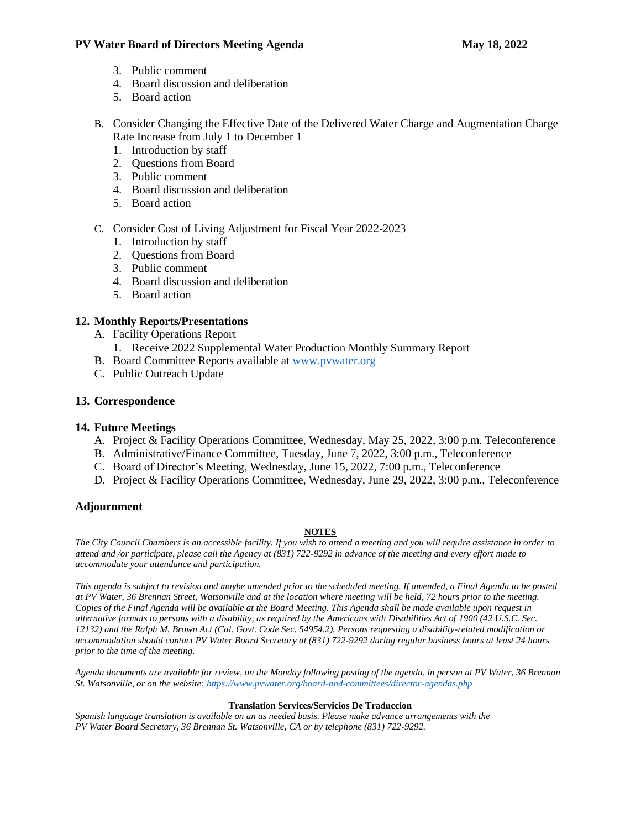#### **PV Water Board of Directors Meeting Agenda** May 18, 2022

- 3. Public comment
- 4. Board discussion and deliberation
- 5. Board action
- B. Consider Changing the Effective Date of the Delivered Water Charge and Augmentation Charge Rate Increase from July 1 to December 1
	- 1. Introduction by staff
	- 2. Questions from Board
	- 3. Public comment
	- 4. Board discussion and deliberation
	- 5. Board action
- C. Consider Cost of Living Adjustment for Fiscal Year 2022-2023
	- 1. Introduction by staff
	- 2. Questions from Board
	- 3. Public comment
	- 4. Board discussion and deliberation
	- 5. Board action

## **12. Monthly Reports/Presentations**

- A. Facility Operations Report
	- 1. Receive 2022 Supplemental Water Production Monthly Summary Report
- B. Board Committee Reports available at [www.pvwater.org](http://www.pvwater.org/)
- C. Public Outreach Update

## **13. Correspondence**

## **14. Future Meetings**

- A. Project & Facility Operations Committee, Wednesday, May 25, 2022, 3:00 p.m. Teleconference
- B. Administrative/Finance Committee, Tuesday, June 7, 2022, 3:00 p.m., Teleconference
- C. Board of Director's Meeting, Wednesday, June 15, 2022, 7:00 p.m., Teleconference
- D. Project & Facility Operations Committee, Wednesday, June 29, 2022, 3:00 p.m., Teleconference

## **Adjournment**

#### **NOTES**

*The City Council Chambers is an accessible facility. If you wish to attend a meeting and you will require assistance in order to attend and /or participate, please call the Agency at (831) 722-9292 in advance of the meeting and every effort made to accommodate your attendance and participation.*

*This agenda is subject to revision and maybe amended prior to the scheduled meeting. If amended, a Final Agenda to be posted at PV Water, 36 Brennan Street, Watsonville and at the location where meeting will be held, 72 hours prior to the meeting. Copies of the Final Agenda will be available at the Board Meeting. This Agenda shall be made available upon request in alternative formats to persons with a disability, as required by the Americans with Disabilities Act of 1900 (42 U.S.C. Sec. 12132) and the Ralph M. Brown Act (Cal. Govt. Code Sec. 54954.2). Persons requesting a disability-related modification or accommodation should contact PV Water Board Secretary at (831) 722-9292 during regular business hours at least 24 hours prior to the time of the meeting.*

*Agenda documents are available for review, on the Monday following posting of the agenda, in person at PV Water, 36 Brennan St. Watsonville, or on the website[: https://www.pvwater.org/board-and-committees/director-agendas.php](https://www.pvwater.org/board-and-committees/director-agendas.php)*

#### **Translation Services/Servicios De Traduccion**

*Spanish language translation is available on an as needed basis. Please make advance arrangements with the PV Water Board Secretary, 36 Brennan St. Watsonville, CA or by telephone (831) 722-9292.*